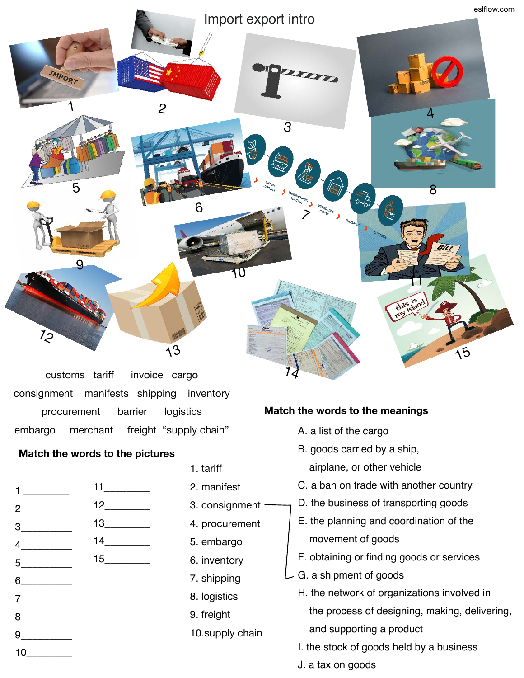

customs tariff invoice cargo consignment manifests shipping inventory procurement barrier logistics embargo merchant freight "supply chain"

## **Match the words to the pictures**

| $1 \qquad \qquad$            |                               |
|------------------------------|-------------------------------|
|                              | $12$                          |
|                              |                               |
| $4 \overline{2}$             | $14 \underline{\hspace{1cm}}$ |
|                              |                               |
| $5 \overline{\phantom{a}}$   |                               |
| $6 \qquad \qquad$            |                               |
|                              |                               |
| $8 \underline{\hspace{1cm}}$ |                               |
|                              |                               |
| $10$ and $\sim$              |                               |

- 1. tariff
- 2. manifest
- 3. consignment ·
- 4. procurement
- 5. embargo
- 6. inventory
- 7. shipping
- 8. logistics
- 9. freight
- 10.supply chain

## **Match the words to the meanings**

- A. a list of the cargo
- B. goods carried by a ship,
	- airplane, or other vehicle
- C. a ban on trade with another country
- D. the business of transporting goods
- E. the planning and coordination of the movement of goods
- F. obtaining or finding goods or services
- G. a shipment of goods
	- H. the network of organizations involved in the process of designing, making, delivering, and supporting a product
	- I. the stock of goods held by a business
	- J. a tax on goods